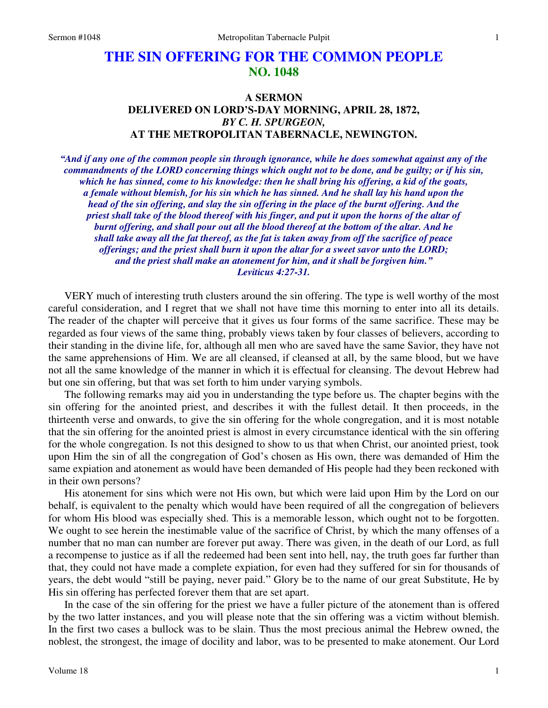# **THE SIN OFFERING FOR THE COMMON PEOPLE NO. 1048**

# **A SERMON DELIVERED ON LORD'S-DAY MORNING, APRIL 28, 1872,**  *BY C. H. SPURGEON,*  **AT THE METROPOLITAN TABERNACLE, NEWINGTON.**

*"And if any one of the common people sin through ignorance, while he does somewhat against any of the commandments of the LORD concerning things which ought not to be done, and be guilty; or if his sin, which he has sinned, come to his knowledge: then he shall bring his offering, a kid of the goats, a female without blemish, for his sin which he has sinned. And he shall lay his hand upon the head of the sin offering, and slay the sin offering in the place of the burnt offering. And the priest shall take of the blood thereof with his finger, and put it upon the horns of the altar of burnt offering, and shall pour out all the blood thereof at the bottom of the altar. And he shall take away all the fat thereof, as the fat is taken away from off the sacrifice of peace offerings; and the priest shall burn it upon the altar for a sweet savor unto the LORD; and the priest shall make an atonement for him, and it shall be forgiven him." Leviticus 4:27-31.* 

VERY much of interesting truth clusters around the sin offering. The type is well worthy of the most careful consideration, and I regret that we shall not have time this morning to enter into all its details. The reader of the chapter will perceive that it gives us four forms of the same sacrifice. These may be regarded as four views of the same thing, probably views taken by four classes of believers, according to their standing in the divine life, for, although all men who are saved have the same Savior, they have not the same apprehensions of Him. We are all cleansed, if cleansed at all, by the same blood, but we have not all the same knowledge of the manner in which it is effectual for cleansing. The devout Hebrew had but one sin offering, but that was set forth to him under varying symbols.

The following remarks may aid you in understanding the type before us. The chapter begins with the sin offering for the anointed priest, and describes it with the fullest detail. It then proceeds, in the thirteenth verse and onwards, to give the sin offering for the whole congregation, and it is most notable that the sin offering for the anointed priest is almost in every circumstance identical with the sin offering for the whole congregation. Is not this designed to show to us that when Christ, our anointed priest, took upon Him the sin of all the congregation of God's chosen as His own, there was demanded of Him the same expiation and atonement as would have been demanded of His people had they been reckoned with in their own persons?

His atonement for sins which were not His own, but which were laid upon Him by the Lord on our behalf, is equivalent to the penalty which would have been required of all the congregation of believers for whom His blood was especially shed. This is a memorable lesson, which ought not to be forgotten. We ought to see herein the inestimable value of the sacrifice of Christ, by which the many offenses of a number that no man can number are forever put away. There was given, in the death of our Lord, as full a recompense to justice as if all the redeemed had been sent into hell, nay, the truth goes far further than that, they could not have made a complete expiation, for even had they suffered for sin for thousands of years, the debt would "still be paying, never paid." Glory be to the name of our great Substitute, He by His sin offering has perfected forever them that are set apart.

In the case of the sin offering for the priest we have a fuller picture of the atonement than is offered by the two latter instances, and you will please note that the sin offering was a victim without blemish. In the first two cases a bullock was to be slain. Thus the most precious animal the Hebrew owned, the noblest, the strongest, the image of docility and labor, was to be presented to make atonement. Our Lord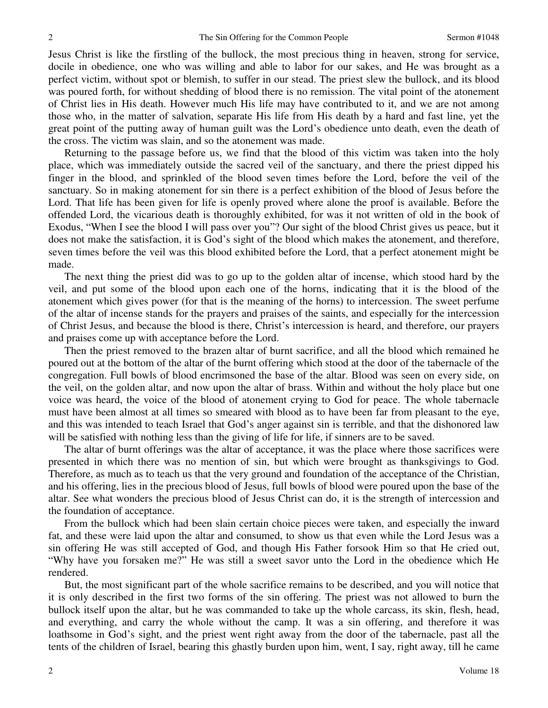Jesus Christ is like the firstling of the bullock, the most precious thing in heaven, strong for service, docile in obedience, one who was willing and able to labor for our sakes, and He was brought as a perfect victim, without spot or blemish, to suffer in our stead. The priest slew the bullock, and its blood was poured forth, for without shedding of blood there is no remission. The vital point of the atonement of Christ lies in His death. However much His life may have contributed to it, and we are not among those who, in the matter of salvation, separate His life from His death by a hard and fast line, yet the great point of the putting away of human guilt was the Lord's obedience unto death, even the death of the cross. The victim was slain, and so the atonement was made.

Returning to the passage before us, we find that the blood of this victim was taken into the holy place, which was immediately outside the sacred veil of the sanctuary, and there the priest dipped his finger in the blood, and sprinkled of the blood seven times before the Lord, before the veil of the sanctuary. So in making atonement for sin there is a perfect exhibition of the blood of Jesus before the Lord. That life has been given for life is openly proved where alone the proof is available. Before the offended Lord, the vicarious death is thoroughly exhibited, for was it not written of old in the book of Exodus, "When I see the blood I will pass over you"? Our sight of the blood Christ gives us peace, but it does not make the satisfaction, it is God's sight of the blood which makes the atonement, and therefore, seven times before the veil was this blood exhibited before the Lord, that a perfect atonement might be made.

The next thing the priest did was to go up to the golden altar of incense, which stood hard by the veil, and put some of the blood upon each one of the horns, indicating that it is the blood of the atonement which gives power (for that is the meaning of the horns) to intercession. The sweet perfume of the altar of incense stands for the prayers and praises of the saints, and especially for the intercession of Christ Jesus, and because the blood is there, Christ's intercession is heard, and therefore, our prayers and praises come up with acceptance before the Lord.

Then the priest removed to the brazen altar of burnt sacrifice, and all the blood which remained he poured out at the bottom of the altar of the burnt offering which stood at the door of the tabernacle of the congregation. Full bowls of blood encrimsoned the base of the altar. Blood was seen on every side, on the veil, on the golden altar, and now upon the altar of brass. Within and without the holy place but one voice was heard, the voice of the blood of atonement crying to God for peace. The whole tabernacle must have been almost at all times so smeared with blood as to have been far from pleasant to the eye, and this was intended to teach Israel that God's anger against sin is terrible, and that the dishonored law will be satisfied with nothing less than the giving of life for life, if sinners are to be saved.

The altar of burnt offerings was the altar of acceptance, it was the place where those sacrifices were presented in which there was no mention of sin, but which were brought as thanksgivings to God. Therefore, as much as to teach us that the very ground and foundation of the acceptance of the Christian, and his offering, lies in the precious blood of Jesus, full bowls of blood were poured upon the base of the altar. See what wonders the precious blood of Jesus Christ can do, it is the strength of intercession and the foundation of acceptance.

From the bullock which had been slain certain choice pieces were taken, and especially the inward fat, and these were laid upon the altar and consumed, to show us that even while the Lord Jesus was a sin offering He was still accepted of God, and though His Father forsook Him so that He cried out, "Why have you forsaken me?" He was still a sweet savor unto the Lord in the obedience which He rendered.

But, the most significant part of the whole sacrifice remains to be described, and you will notice that it is only described in the first two forms of the sin offering. The priest was not allowed to burn the bullock itself upon the altar, but he was commanded to take up the whole carcass, its skin, flesh, head, and everything, and carry the whole without the camp. It was a sin offering, and therefore it was loathsome in God's sight, and the priest went right away from the door of the tabernacle, past all the tents of the children of Israel, bearing this ghastly burden upon him, went, I say, right away, till he came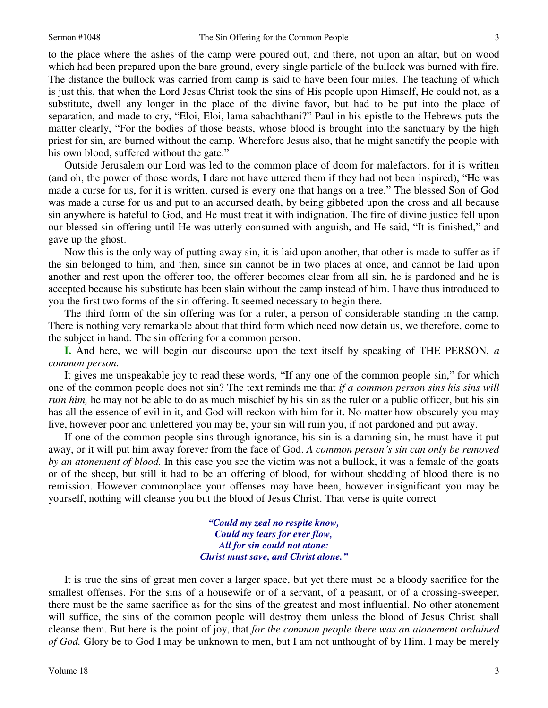to the place where the ashes of the camp were poured out, and there, not upon an altar, but on wood which had been prepared upon the bare ground, every single particle of the bullock was burned with fire. The distance the bullock was carried from camp is said to have been four miles. The teaching of which is just this, that when the Lord Jesus Christ took the sins of His people upon Himself, He could not, as a substitute, dwell any longer in the place of the divine favor, but had to be put into the place of separation, and made to cry, "Eloi, Eloi, lama sabachthani?" Paul in his epistle to the Hebrews puts the matter clearly, "For the bodies of those beasts, whose blood is brought into the sanctuary by the high priest for sin, are burned without the camp. Wherefore Jesus also, that he might sanctify the people with his own blood, suffered without the gate."

Outside Jerusalem our Lord was led to the common place of doom for malefactors, for it is written (and oh, the power of those words, I dare not have uttered them if they had not been inspired), "He was made a curse for us, for it is written, cursed is every one that hangs on a tree." The blessed Son of God was made a curse for us and put to an accursed death, by being gibbeted upon the cross and all because sin anywhere is hateful to God, and He must treat it with indignation. The fire of divine justice fell upon our blessed sin offering until He was utterly consumed with anguish, and He said, "It is finished," and gave up the ghost.

Now this is the only way of putting away sin, it is laid upon another, that other is made to suffer as if the sin belonged to him, and then, since sin cannot be in two places at once, and cannot be laid upon another and rest upon the offerer too, the offerer becomes clear from all sin, he is pardoned and he is accepted because his substitute has been slain without the camp instead of him. I have thus introduced to you the first two forms of the sin offering. It seemed necessary to begin there.

The third form of the sin offering was for a ruler, a person of considerable standing in the camp. There is nothing very remarkable about that third form which need now detain us, we therefore, come to the subject in hand. The sin offering for a common person.

**I.** And here, we will begin our discourse upon the text itself by speaking of THE PERSON, *a common person.*

It gives me unspeakable joy to read these words, "If any one of the common people sin," for which one of the common people does not sin? The text reminds me that *if a common person sins his sins will ruin him*, he may not be able to do as much mischief by his sin as the ruler or a public officer, but his sin has all the essence of evil in it, and God will reckon with him for it. No matter how obscurely you may live, however poor and unlettered you may be, your sin will ruin you, if not pardoned and put away.

If one of the common people sins through ignorance, his sin is a damning sin, he must have it put away, or it will put him away forever from the face of God. *A common person's sin can only be removed by an atonement of blood.* In this case you see the victim was not a bullock, it was a female of the goats or of the sheep, but still it had to be an offering of blood, for without shedding of blood there is no remission. However commonplace your offenses may have been, however insignificant you may be yourself, nothing will cleanse you but the blood of Jesus Christ. That verse is quite correct—

> *"Could my zeal no respite know, Could my tears for ever flow, All for sin could not atone: Christ must save, and Christ alone."*

 It is true the sins of great men cover a larger space, but yet there must be a bloody sacrifice for the smallest offenses. For the sins of a housewife or of a servant, of a peasant, or of a crossing-sweeper, there must be the same sacrifice as for the sins of the greatest and most influential. No other atonement will suffice, the sins of the common people will destroy them unless the blood of Jesus Christ shall cleanse them. But here is the point of joy, that *for the common people there was an atonement ordained of God.* Glory be to God I may be unknown to men, but I am not unthought of by Him. I may be merely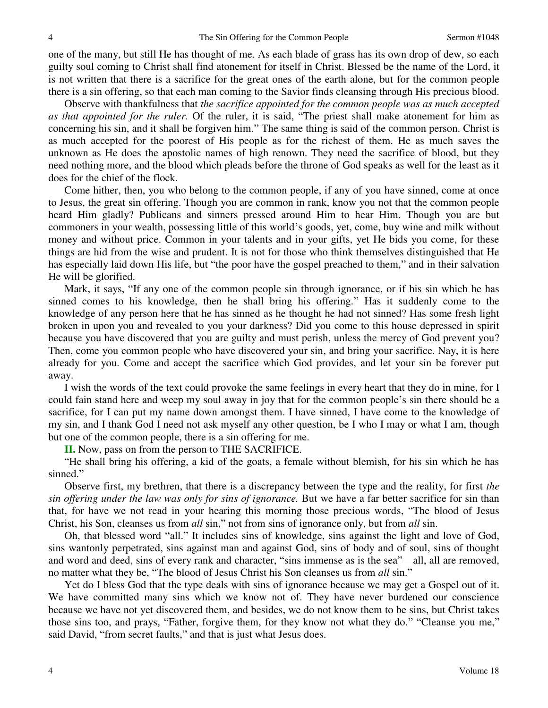one of the many, but still He has thought of me. As each blade of grass has its own drop of dew, so each guilty soul coming to Christ shall find atonement for itself in Christ. Blessed be the name of the Lord, it is not written that there is a sacrifice for the great ones of the earth alone, but for the common people there is a sin offering, so that each man coming to the Savior finds cleansing through His precious blood.

Observe with thankfulness that *the sacrifice appointed for the common people was as much accepted as that appointed for the ruler.* Of the ruler, it is said, "The priest shall make atonement for him as concerning his sin, and it shall be forgiven him." The same thing is said of the common person. Christ is as much accepted for the poorest of His people as for the richest of them. He as much saves the unknown as He does the apostolic names of high renown. They need the sacrifice of blood, but they need nothing more, and the blood which pleads before the throne of God speaks as well for the least as it does for the chief of the flock.

Come hither, then, you who belong to the common people, if any of you have sinned, come at once to Jesus, the great sin offering. Though you are common in rank, know you not that the common people heard Him gladly? Publicans and sinners pressed around Him to hear Him. Though you are but commoners in your wealth, possessing little of this world's goods, yet, come, buy wine and milk without money and without price. Common in your talents and in your gifts, yet He bids you come, for these things are hid from the wise and prudent. It is not for those who think themselves distinguished that He has especially laid down His life, but "the poor have the gospel preached to them," and in their salvation He will be glorified.

Mark, it says, "If any one of the common people sin through ignorance, or if his sin which he has sinned comes to his knowledge, then he shall bring his offering." Has it suddenly come to the knowledge of any person here that he has sinned as he thought he had not sinned? Has some fresh light broken in upon you and revealed to you your darkness? Did you come to this house depressed in spirit because you have discovered that you are guilty and must perish, unless the mercy of God prevent you? Then, come you common people who have discovered your sin, and bring your sacrifice. Nay, it is here already for you. Come and accept the sacrifice which God provides, and let your sin be forever put away.

I wish the words of the text could provoke the same feelings in every heart that they do in mine, for I could fain stand here and weep my soul away in joy that for the common people's sin there should be a sacrifice, for I can put my name down amongst them. I have sinned, I have come to the knowledge of my sin, and I thank God I need not ask myself any other question, be I who I may or what I am, though but one of the common people, there is a sin offering for me.

**II.** Now, pass on from the person to THE SACRIFICE.

"He shall bring his offering, a kid of the goats, a female without blemish, for his sin which he has sinned."

Observe first, my brethren, that there is a discrepancy between the type and the reality, for first *the sin offering under the law was only for sins of ignorance.* But we have a far better sacrifice for sin than that, for have we not read in your hearing this morning those precious words, "The blood of Jesus Christ, his Son, cleanses us from *all* sin," not from sins of ignorance only, but from *all* sin.

Oh, that blessed word "all." It includes sins of knowledge, sins against the light and love of God, sins wantonly perpetrated, sins against man and against God, sins of body and of soul, sins of thought and word and deed, sins of every rank and character, "sins immense as is the sea"—all, all are removed, no matter what they be, "The blood of Jesus Christ his Son cleanses us from *all* sin."

Yet do I bless God that the type deals with sins of ignorance because we may get a Gospel out of it. We have committed many sins which we know not of. They have never burdened our conscience because we have not yet discovered them, and besides, we do not know them to be sins, but Christ takes those sins too, and prays, "Father, forgive them, for they know not what they do." "Cleanse you me," said David, "from secret faults," and that is just what Jesus does.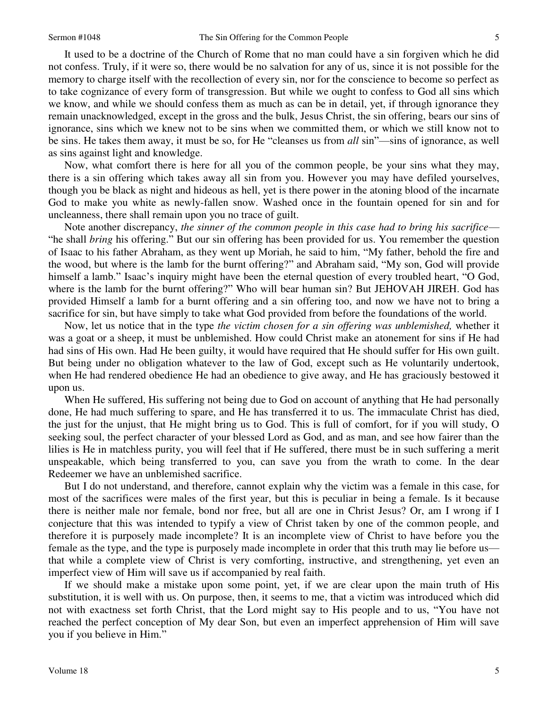It used to be a doctrine of the Church of Rome that no man could have a sin forgiven which he did not confess. Truly, if it were so, there would be no salvation for any of us, since it is not possible for the memory to charge itself with the recollection of every sin, nor for the conscience to become so perfect as to take cognizance of every form of transgression. But while we ought to confess to God all sins which we know, and while we should confess them as much as can be in detail, yet, if through ignorance they remain unacknowledged, except in the gross and the bulk, Jesus Christ, the sin offering, bears our sins of ignorance, sins which we knew not to be sins when we committed them, or which we still know not to be sins. He takes them away, it must be so, for He "cleanses us from *all* sin"—sins of ignorance, as well as sins against light and knowledge.

Now, what comfort there is here for all you of the common people, be your sins what they may, there is a sin offering which takes away all sin from you. However you may have defiled yourselves, though you be black as night and hideous as hell, yet is there power in the atoning blood of the incarnate God to make you white as newly-fallen snow. Washed once in the fountain opened for sin and for uncleanness, there shall remain upon you no trace of guilt.

Note another discrepancy, *the sinner of the common people in this case had to bring his sacrifice*— "he shall *bring* his offering." But our sin offering has been provided for us. You remember the question of Isaac to his father Abraham, as they went up Moriah, he said to him, "My father, behold the fire and the wood, but where is the lamb for the burnt offering?" and Abraham said, "My son, God will provide himself a lamb." Isaac's inquiry might have been the eternal question of every troubled heart, "O God, where is the lamb for the burnt offering?" Who will bear human sin? But JEHOVAH JIREH. God has provided Himself a lamb for a burnt offering and a sin offering too, and now we have not to bring a sacrifice for sin, but have simply to take what God provided from before the foundations of the world.

Now, let us notice that in the type *the victim chosen for a sin offering was unblemished,* whether it was a goat or a sheep, it must be unblemished. How could Christ make an atonement for sins if He had had sins of His own. Had He been guilty, it would have required that He should suffer for His own guilt. But being under no obligation whatever to the law of God, except such as He voluntarily undertook, when He had rendered obedience He had an obedience to give away, and He has graciously bestowed it upon us.

When He suffered, His suffering not being due to God on account of anything that He had personally done, He had much suffering to spare, and He has transferred it to us. The immaculate Christ has died, the just for the unjust, that He might bring us to God. This is full of comfort, for if you will study, O seeking soul, the perfect character of your blessed Lord as God, and as man, and see how fairer than the lilies is He in matchless purity, you will feel that if He suffered, there must be in such suffering a merit unspeakable, which being transferred to you, can save you from the wrath to come. In the dear Redeemer we have an unblemished sacrifice.

But I do not understand, and therefore, cannot explain why the victim was a female in this case, for most of the sacrifices were males of the first year, but this is peculiar in being a female. Is it because there is neither male nor female, bond nor free, but all are one in Christ Jesus? Or, am I wrong if I conjecture that this was intended to typify a view of Christ taken by one of the common people, and therefore it is purposely made incomplete? It is an incomplete view of Christ to have before you the female as the type, and the type is purposely made incomplete in order that this truth may lie before us that while a complete view of Christ is very comforting, instructive, and strengthening, yet even an imperfect view of Him will save us if accompanied by real faith.

If we should make a mistake upon some point, yet, if we are clear upon the main truth of His substitution, it is well with us. On purpose, then, it seems to me, that a victim was introduced which did not with exactness set forth Christ, that the Lord might say to His people and to us, "You have not reached the perfect conception of My dear Son, but even an imperfect apprehension of Him will save you if you believe in Him."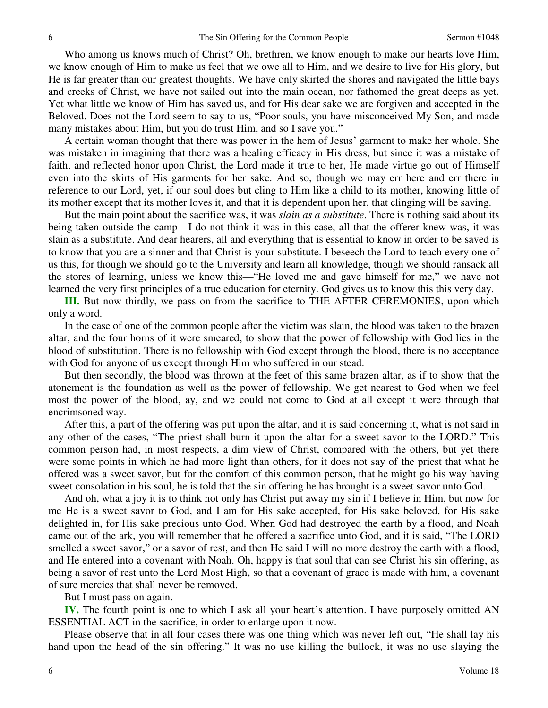Who among us knows much of Christ? Oh, brethren, we know enough to make our hearts love Him, we know enough of Him to make us feel that we owe all to Him, and we desire to live for His glory, but He is far greater than our greatest thoughts. We have only skirted the shores and navigated the little bays and creeks of Christ, we have not sailed out into the main ocean, nor fathomed the great deeps as yet. Yet what little we know of Him has saved us, and for His dear sake we are forgiven and accepted in the Beloved. Does not the Lord seem to say to us, "Poor souls, you have misconceived My Son, and made many mistakes about Him, but you do trust Him, and so I save you."

A certain woman thought that there was power in the hem of Jesus' garment to make her whole. She was mistaken in imagining that there was a healing efficacy in His dress, but since it was a mistake of faith, and reflected honor upon Christ, the Lord made it true to her, He made virtue go out of Himself even into the skirts of His garments for her sake. And so, though we may err here and err there in reference to our Lord, yet, if our soul does but cling to Him like a child to its mother, knowing little of its mother except that its mother loves it, and that it is dependent upon her, that clinging will be saving.

But the main point about the sacrifice was, it was *slain as a substitute*. There is nothing said about its being taken outside the camp—I do not think it was in this case, all that the offerer knew was, it was slain as a substitute. And dear hearers, all and everything that is essential to know in order to be saved is to know that you are a sinner and that Christ is your substitute. I beseech the Lord to teach every one of us this, for though we should go to the University and learn all knowledge, though we should ransack all the stores of learning, unless we know this—"He loved me and gave himself for me," we have not learned the very first principles of a true education for eternity. God gives us to know this this very day.

**III.** But now thirdly, we pass on from the sacrifice to THE AFTER CEREMONIES, upon which only a word.

In the case of one of the common people after the victim was slain, the blood was taken to the brazen altar, and the four horns of it were smeared, to show that the power of fellowship with God lies in the blood of substitution. There is no fellowship with God except through the blood, there is no acceptance with God for anyone of us except through Him who suffered in our stead.

But then secondly, the blood was thrown at the feet of this same brazen altar, as if to show that the atonement is the foundation as well as the power of fellowship. We get nearest to God when we feel most the power of the blood, ay, and we could not come to God at all except it were through that encrimsoned way.

After this, a part of the offering was put upon the altar, and it is said concerning it, what is not said in any other of the cases, "The priest shall burn it upon the altar for a sweet savor to the LORD." This common person had, in most respects, a dim view of Christ, compared with the others, but yet there were some points in which he had more light than others, for it does not say of the priest that what he offered was a sweet savor, but for the comfort of this common person, that he might go his way having sweet consolation in his soul, he is told that the sin offering he has brought is a sweet savor unto God.

And oh, what a joy it is to think not only has Christ put away my sin if I believe in Him, but now for me He is a sweet savor to God, and I am for His sake accepted, for His sake beloved, for His sake delighted in, for His sake precious unto God. When God had destroyed the earth by a flood, and Noah came out of the ark, you will remember that he offered a sacrifice unto God, and it is said, "The LORD smelled a sweet savor," or a savor of rest, and then He said I will no more destroy the earth with a flood, and He entered into a covenant with Noah. Oh, happy is that soul that can see Christ his sin offering, as being a savor of rest unto the Lord Most High, so that a covenant of grace is made with him, a covenant of sure mercies that shall never be removed.

But I must pass on again.

**IV.** The fourth point is one to which I ask all your heart's attention. I have purposely omitted AN ESSENTIAL ACT in the sacrifice, in order to enlarge upon it now.

Please observe that in all four cases there was one thing which was never left out, "He shall lay his hand upon the head of the sin offering." It was no use killing the bullock, it was no use slaying the

6

6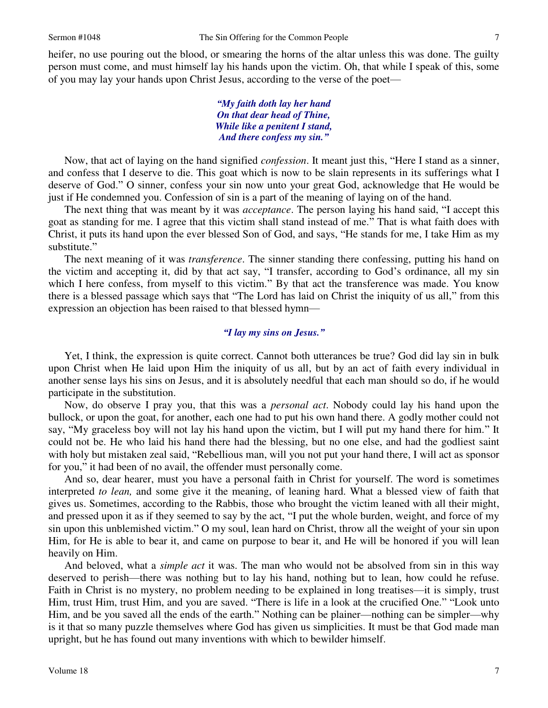heifer, no use pouring out the blood, or smearing the horns of the altar unless this was done. The guilty person must come, and must himself lay his hands upon the victim. Oh, that while I speak of this, some of you may lay your hands upon Christ Jesus, according to the verse of the poet—

> *"My faith doth lay her hand On that dear head of Thine, While like a penitent I stand, And there confess my sin."*

 Now, that act of laying on the hand signified *confession*. It meant just this, "Here I stand as a sinner, and confess that I deserve to die. This goat which is now to be slain represents in its sufferings what I deserve of God." O sinner, confess your sin now unto your great God, acknowledge that He would be just if He condemned you. Confession of sin is a part of the meaning of laying on of the hand.

 The next thing that was meant by it was *acceptance*. The person laying his hand said, "I accept this goat as standing for me. I agree that this victim shall stand instead of me." That is what faith does with Christ, it puts its hand upon the ever blessed Son of God, and says, "He stands for me, I take Him as my substitute."

 The next meaning of it was *transference*. The sinner standing there confessing, putting his hand on the victim and accepting it, did by that act say, "I transfer, according to God's ordinance, all my sin which I here confess, from myself to this victim." By that act the transference was made. You know there is a blessed passage which says that "The Lord has laid on Christ the iniquity of us all," from this expression an objection has been raised to that blessed hymn—

### *"I lay my sins on Jesus."*

 Yet, I think, the expression is quite correct. Cannot both utterances be true? God did lay sin in bulk upon Christ when He laid upon Him the iniquity of us all, but by an act of faith every individual in another sense lays his sins on Jesus, and it is absolutely needful that each man should so do, if he would participate in the substitution.

Now, do observe I pray you, that this was a *personal act*. Nobody could lay his hand upon the bullock, or upon the goat, for another, each one had to put his own hand there. A godly mother could not say, "My graceless boy will not lay his hand upon the victim, but I will put my hand there for him." It could not be. He who laid his hand there had the blessing, but no one else, and had the godliest saint with holy but mistaken zeal said, "Rebellious man, will you not put your hand there, I will act as sponsor for you," it had been of no avail, the offender must personally come.

And so, dear hearer, must you have a personal faith in Christ for yourself. The word is sometimes interpreted *to lean,* and some give it the meaning, of leaning hard. What a blessed view of faith that gives us. Sometimes, according to the Rabbis, those who brought the victim leaned with all their might, and pressed upon it as if they seemed to say by the act, "I put the whole burden, weight, and force of my sin upon this unblemished victim." O my soul, lean hard on Christ, throw all the weight of your sin upon Him, for He is able to bear it, and came on purpose to bear it, and He will be honored if you will lean heavily on Him.

And beloved, what a *simple act* it was. The man who would not be absolved from sin in this way deserved to perish—there was nothing but to lay his hand, nothing but to lean, how could he refuse. Faith in Christ is no mystery, no problem needing to be explained in long treatises—it is simply, trust Him, trust Him, trust Him, and you are saved. "There is life in a look at the crucified One." "Look unto Him, and be you saved all the ends of the earth." Nothing can be plainer—nothing can be simpler—why is it that so many puzzle themselves where God has given us simplicities. It must be that God made man upright, but he has found out many inventions with which to bewilder himself.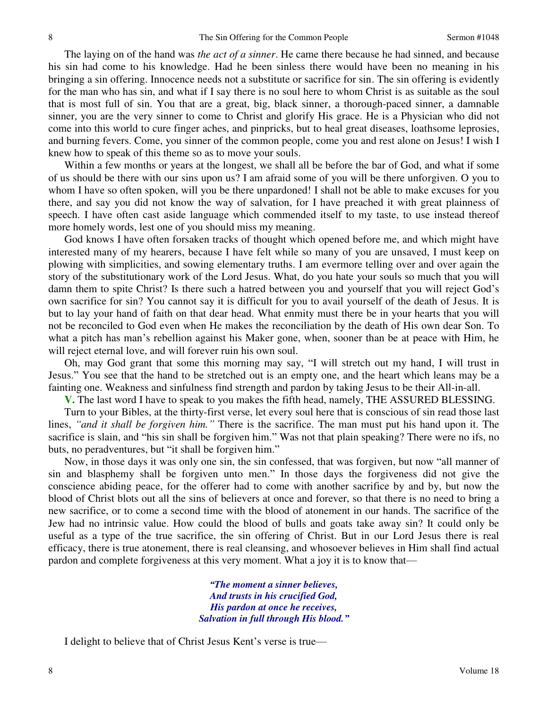The laying on of the hand was *the act of a sinner*. He came there because he had sinned, and because his sin had come to his knowledge. Had he been sinless there would have been no meaning in his bringing a sin offering. Innocence needs not a substitute or sacrifice for sin. The sin offering is evidently for the man who has sin, and what if I say there is no soul here to whom Christ is as suitable as the soul that is most full of sin. You that are a great, big, black sinner, a thorough-paced sinner, a damnable sinner, you are the very sinner to come to Christ and glorify His grace. He is a Physician who did not come into this world to cure finger aches, and pinpricks, but to heal great diseases, loathsome leprosies, and burning fevers. Come, you sinner of the common people, come you and rest alone on Jesus! I wish I knew how to speak of this theme so as to move your souls.

Within a few months or years at the longest, we shall all be before the bar of God, and what if some of us should be there with our sins upon us? I am afraid some of you will be there unforgiven. O you to whom I have so often spoken, will you be there unpardoned! I shall not be able to make excuses for you there, and say you did not know the way of salvation, for I have preached it with great plainness of speech. I have often cast aside language which commended itself to my taste, to use instead thereof more homely words, lest one of you should miss my meaning.

God knows I have often forsaken tracks of thought which opened before me, and which might have interested many of my hearers, because I have felt while so many of you are unsaved, I must keep on plowing with simplicities, and sowing elementary truths. I am evermore telling over and over again the story of the substitutionary work of the Lord Jesus. What, do you hate your souls so much that you will damn them to spite Christ? Is there such a hatred between you and yourself that you will reject God's own sacrifice for sin? You cannot say it is difficult for you to avail yourself of the death of Jesus. It is but to lay your hand of faith on that dear head. What enmity must there be in your hearts that you will not be reconciled to God even when He makes the reconciliation by the death of His own dear Son. To what a pitch has man's rebellion against his Maker gone, when, sooner than be at peace with Him, he will reject eternal love, and will forever ruin his own soul.

Oh, may God grant that some this morning may say, "I will stretch out my hand, I will trust in Jesus." You see that the hand to be stretched out is an empty one, and the heart which leans may be a fainting one. Weakness and sinfulness find strength and pardon by taking Jesus to be their All-in-all.

**V.** The last word I have to speak to you makes the fifth head, namely, THE ASSURED BLESSING.

Turn to your Bibles, at the thirty-first verse, let every soul here that is conscious of sin read those last lines, *"and it shall be forgiven him."* There is the sacrifice. The man must put his hand upon it. The sacrifice is slain, and "his sin shall be forgiven him." Was not that plain speaking? There were no ifs, no buts, no peradventures, but "it shall be forgiven him."

Now, in those days it was only one sin, the sin confessed, that was forgiven, but now "all manner of sin and blasphemy shall be forgiven unto men." In those days the forgiveness did not give the conscience abiding peace, for the offerer had to come with another sacrifice by and by, but now the blood of Christ blots out all the sins of believers at once and forever, so that there is no need to bring a new sacrifice, or to come a second time with the blood of atonement in our hands. The sacrifice of the Jew had no intrinsic value. How could the blood of bulls and goats take away sin? It could only be useful as a type of the true sacrifice, the sin offering of Christ. But in our Lord Jesus there is real efficacy, there is true atonement, there is real cleansing, and whosoever believes in Him shall find actual pardon and complete forgiveness at this very moment. What a joy it is to know that—

> *"The moment a sinner believes, And trusts in his crucified God, His pardon at once he receives, Salvation in full through His blood."*

I delight to believe that of Christ Jesus Kent's verse is true—